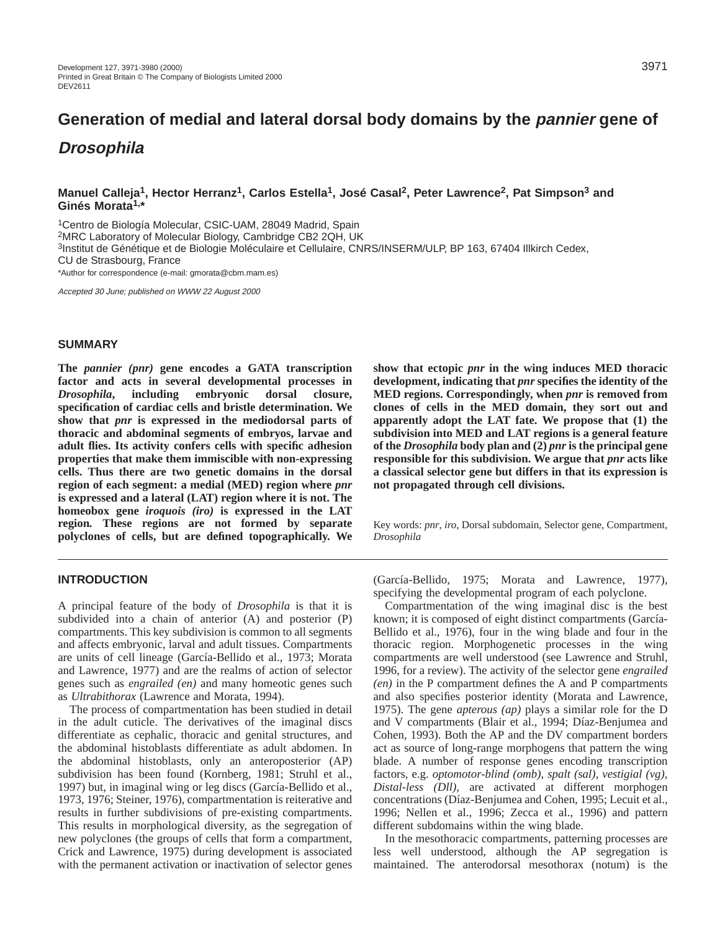# **Manuel Calleja1, Hector Herranz1, Carlos Estella1, José Casal2, Peter Lawrence2, Pat Simpson3 and Ginés Morata1,\***

1Centro de Biología Molecular, CSIC-UAM, 28049 Madrid, Spain 2MRC Laboratory of Molecular Biology, Cambridge CB2 2QH, UK 3Institut de Génétique et de Biologie Moléculaire et Cellulaire, CNRS/INSERM/ULP, BP 163, 67404 Illkirch Cedex, CU de Strasbourg, France

\*Author for correspondence (e-mail: gmorata@cbm.mam.es)

Accepted 30 June; published on WWW 22 August 2000

### **SUMMARY**

**The** *pannier (pnr)* **gene encodes a GATA transcription factor and acts in several developmental processes in** *Drosophila***, including embryonic dorsal closure, specification of cardiac cells and bristle determination. We show that** *pnr* **is expressed in the mediodorsal parts of thoracic and abdominal segments of embryos, larvae and adult flies. Its activity confers cells with specific adhesion properties that make them immiscible with non-expressing cells. Thus there are two genetic domains in the dorsal region of each segment: a medial (MED) region where** *pnr* **is expressed and a lateral (LAT) region where it is not. The homeobox gene** *iroquois (iro)* **is expressed in the LAT region***.* **These regions are not formed by separate polyclones of cells, but are defined topographically. We**

# **INTRODUCTION**

A principal feature of the body of *Drosophila* is that it is subdivided into a chain of anterior (A) and posterior (P) compartments. This key subdivision is common to all segments and affects embryonic, larval and adult tissues. Compartments are units of cell lineage (García-Bellido et al., 1973; Morata and Lawrence, 1977) and are the realms of action of selector genes such as *engrailed (en)* and many homeotic genes such as *Ultrabithorax* (Lawrence and Morata, 1994).

The process of compartmentation has been studied in detail in the adult cuticle. The derivatives of the imaginal discs differentiate as cephalic, thoracic and genital structures, and the abdominal histoblasts differentiate as adult abdomen. In the abdominal histoblasts, only an anteroposterior (AP) subdivision has been found (Kornberg, 1981; Struhl et al., 1997) but, in imaginal wing or leg discs (García-Bellido et al., 1973, 1976; Steiner, 1976), compartmentation is reiterative and results in further subdivisions of pre-existing compartments. This results in morphological diversity, as the segregation of new polyclones (the groups of cells that form a compartment, Crick and Lawrence, 1975) during development is associated with the permanent activation or inactivation of selector genes

**show that ectopic** *pnr* **in the wing induces MED thoracic development, indicating that** *pnr* **specifies the identity of the MED regions. Correspondingly, when** *pnr* **is removed from clones of cells in the MED domain, they sort out and apparently adopt the LAT fate. We propose that (1) the subdivision into MED and LAT regions is a general feature of the** *Drosophila* **body plan and (2)** *pnr* **is the principal gene responsible for this subdivision. We argue that** *pnr* **acts like a classical selector gene but differs in that its expression is not propagated through cell divisions.** 

Key words: *pnr*, *iro*, Dorsal subdomain, Selector gene, Compartment, *Drosophila*

(García-Bellido, 1975; Morata and Lawrence, 1977), specifying the developmental program of each polyclone.

Compartmentation of the wing imaginal disc is the best known; it is composed of eight distinct compartments (García-Bellido et al., 1976), four in the wing blade and four in the thoracic region. Morphogenetic processes in the wing compartments are well understood (see Lawrence and Struhl, 1996, for a review). The activity of the selector gene *engrailed (en)* in the P compartment defines the A and P compartments and also specifies posterior identity (Morata and Lawrence, 1975). The gene *apterous (ap)* plays a similar role for the D and V compartments (Blair et al., 1994; Díaz-Benjumea and Cohen, 1993). Both the AP and the DV compartment borders act as source of long-range morphogens that pattern the wing blade. A number of response genes encoding transcription factors, e.g. *optomotor-blind (omb), spalt (sal), vestigial (vg), Distal-less (Dll),* are activated at different morphogen concentrations (Díaz-Benjumea and Cohen, 1995; Lecuit et al., 1996; Nellen et al., 1996; Zecca et al., 1996) and pattern different subdomains within the wing blade.

In the mesothoracic compartments, patterning processes are less well understood, although the AP segregation is maintained. The anterodorsal mesothorax (notum) is the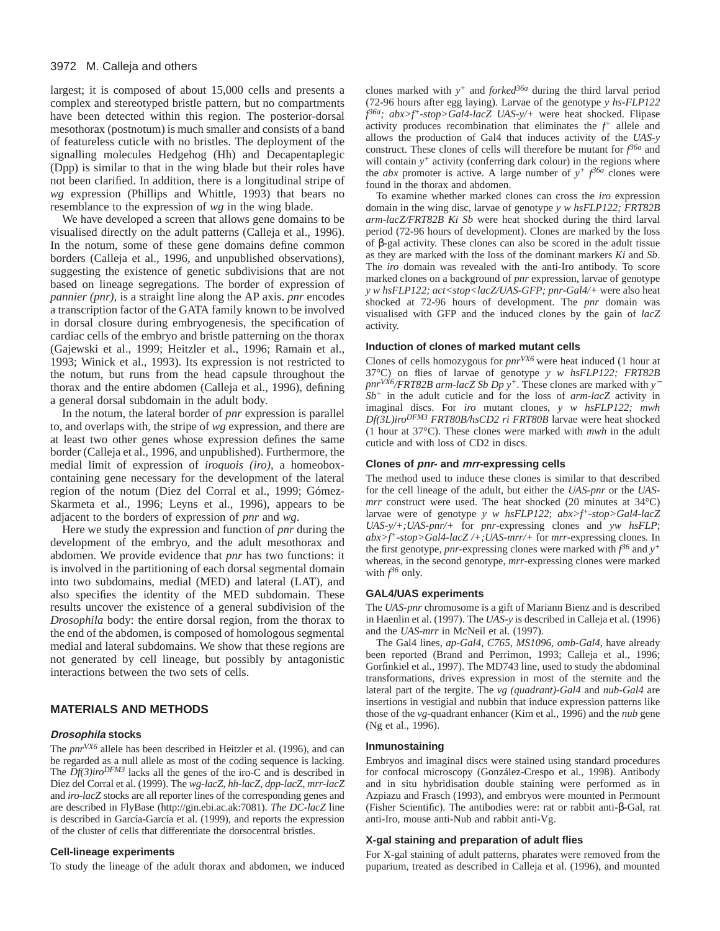largest; it is composed of about 15,000 cells and presents a complex and stereotyped bristle pattern, but no compartments have been detected within this region. The posterior-dorsal mesothorax (postnotum) is much smaller and consists of a band of featureless cuticle with no bristles. The deployment of the signalling molecules Hedgehog (Hh) and Decapentaplegic (Dpp) is similar to that in the wing blade but their roles have not been clarified. In addition, there is a longitudinal stripe of *wg* expression (Phillips and Whittle, 1993) that bears no resemblance to the expression of *wg* in the wing blade.

We have developed a screen that allows gene domains to be visualised directly on the adult patterns (Calleja et al., 1996). In the notum, some of these gene domains define common borders (Calleja et al., 1996, and unpublished observations), suggesting the existence of genetic subdivisions that are not based on lineage segregations*.* The border of expression of *pannier (pnr),* is a straight line along the AP axis. *pnr* encodes a transcription factor of the GATA family known to be involved in dorsal closure during embryogenesis, the specification of cardiac cells of the embryo and bristle patterning on the thorax (Gajewski et al., 1999; Heitzler et al., 1996; Ramain et al., 1993; Winick et al., 1993). Its expression is not restricted to the notum, but runs from the head capsule throughout the thorax and the entire abdomen (Calleja et al., 1996), defining a general dorsal subdomain in the adult body.

In the notum, the lateral border of *pnr* expression is parallel to, and overlaps with, the stripe of *wg* expression, and there are at least two other genes whose expression defines the same border (Calleja et al., 1996, and unpublished). Furthermore, the medial limit of expression of *iroquois (iro),* a homeoboxcontaining gene necessary for the development of the lateral region of the notum (Diez del Corral et al., 1999; Gómez-Skarmeta et al., 1996; Leyns et al., 1996), appears to be adjacent to the borders of expression of *pnr* and *wg*.

Here we study the expression and function of *pnr* during the development of the embryo, and the adult mesothorax and abdomen. We provide evidence that *pnr* has two functions: it is involved in the partitioning of each dorsal segmental domain into two subdomains, medial (MED) and lateral (LAT), and also specifies the identity of the MED subdomain. These results uncover the existence of a general subdivision of the *Drosophila* body: the entire dorsal region, from the thorax to the end of the abdomen, is composed of homologous segmental medial and lateral subdomains. We show that these regions are not generated by cell lineage, but possibly by antagonistic interactions between the two sets of cells.

# **MATERIALS AND METHODS**

### **Drosophila stocks**

The *pnrVX6* allele has been described in Heitzler et al. (1996), and can be regarded as a null allele as most of the coding sequence is lacking. The  $Df(3)iro^{DFM3}$  lacks all the genes of the iro-C and is described in Diez del Corral et al. (1999). The *wg-lacZ, hh-lacZ, dpp-lacZ, mrr-lacZ* and *iro-lacZ* stocks are all reporter lines of the corresponding genes and are described in FlyBase [\(http://gin.ebi.ac.ak:7081\).](http://gin.ebi.ac.ak:7081) *The DC-lacZ* line is described in García-García et al. (1999), and reports the expression of the cluster of cells that differentiate the dorsocentral bristles.

### **Cell-lineage experiments**

To study the lineage of the adult thorax and abdomen, we induced

clones marked with *y+* and *forked36a* during the third larval period (72-96 hours after egg laying). Larvae of the genotype *y hs-FLP122 f 36a; abx>f+-stop>Gal4-lacZ UAS-y/+* were heat shocked. Flipase activity produces recombination that eliminates the *f <sup>+</sup>* allele and allows the production of Gal4 that induces activity of the *UAS-y* construct. These clones of cells will therefore be mutant for  $f^{\delta 6a}$  and will contain  $y^+$  activity (conferring dark colour) in the regions where the *abx* promoter is active. A large number of  $y^+$   $f^{\beta 6a}$  clones were found in the thorax and abdomen.

To examine whether marked clones can cross the *iro* expression domain in the wing disc, larvae of genotype *y w hsFLP122; FRT82B arm-lacZ/FRT82B Ki Sb* were heat shocked during the third larval period (72-96 hours of development). Clones are marked by the loss of β-gal activity. These clones can also be scored in the adult tissue as they are marked with the loss of the dominant markers *Ki* and *Sb*. The *iro* domain was revealed with the anti-Iro antibody. To score marked clones on a background of *pnr* expression, larvae of genotype *y w hsFLP122; act<stop<lacZ/UAS-GFP; pnr-Gal4/+* were also heat shocked at 72-96 hours of development. The *pnr* domain was visualised with GFP and the induced clones by the gain of *lacZ* activity.

#### **Induction of clones of marked mutant cells**

Clones of cells homozygous for *pnrVX6* were heat induced (1 hour at 37°C) on flies of larvae of genotype *y w hsFLP122; FRT82B pnrVX6/FRT82B arm-lacZ Sb Dp y+*. These clones are marked with *y*<sup>−</sup> *Sb+* in the adult cuticle and for the loss of *arm-lacZ* activity in imaginal discs. For *iro* mutant clones, *y w hsFLP122; mwh Df(3L)iroDFM3 FRT80B/hsCD2 ri FRT80B* larvae were heat shocked (1 hour at 37°C). These clones were marked with *mwh* in the adult cuticle and with loss of CD2 in discs.

#### **Clones of pnr- and mrr-expressing cells**

The method used to induce these clones is similar to that described for the cell lineage of the adult, but either the *UAS-pnr* or the *UASmrr* construct were used. The heat shocked (20 minutes at 34°C) larvae were of genotype *y w hsFLP122*; *abx>f+-stop>Gal4-lacZ UAS-y/+;UAS-pnr/+* for *pnr*-expressing clones and *yw hsFLP*; *abx>f+-stop>Gal4-lacZ /+;UAS-mrr/+* for *mrr*-expressing clones*.* In the first genotype, *pnr*-expressing clones were marked with  $f^{36}$  and  $y^+$ whereas, in the second genotype, *mrr*-expressing clones were marked with  $f^{36}$  only.

### **GAL4/UAS experiments**

The *UAS-pnr* chromosome is a gift of Mariann Bienz and is described in Haenlin et al. (1997). The *UAS-y* is described in Calleja et al. (1996) and the *UAS-mrr* in McNeil et al. (1997).

The Gal4 lines, *ap-Gal4*, *C765, MS1096, omb-Gal4*, have already been reported (Brand and Perrimon, 1993; Calleja et al., 1996; Gorfinkiel et al., 1997). The MD743 line, used to study the abdominal transformations, drives expression in most of the sternite and the lateral part of the tergite. The *vg (quadrant)-Gal4* and *nub-Gal4* are insertions in vestigial and nubbin that induce expression patterns like those of the *vg*-quadrant enhancer (Kim et al., 1996) and the *nub* gene (Ng et al., 1996).

#### **Inmunostaining**

Embryos and imaginal discs were stained using standard procedures for confocal microscopy (González-Crespo et al., 1998). Antibody and in situ hybridisation double staining were performed as in Azpiazu and Frasch (1993), and embryos were mounted in Permount (Fisher Scientific). The antibodies were: rat or rabbit anti-β-Gal, rat anti-Iro, mouse anti-Nub and rabbit anti-Vg.

# **X-gal staining and preparation of adult flies**

For X-gal staining of adult patterns, pharates were removed from the puparium, treated as described in Calleja et al. (1996), and mounted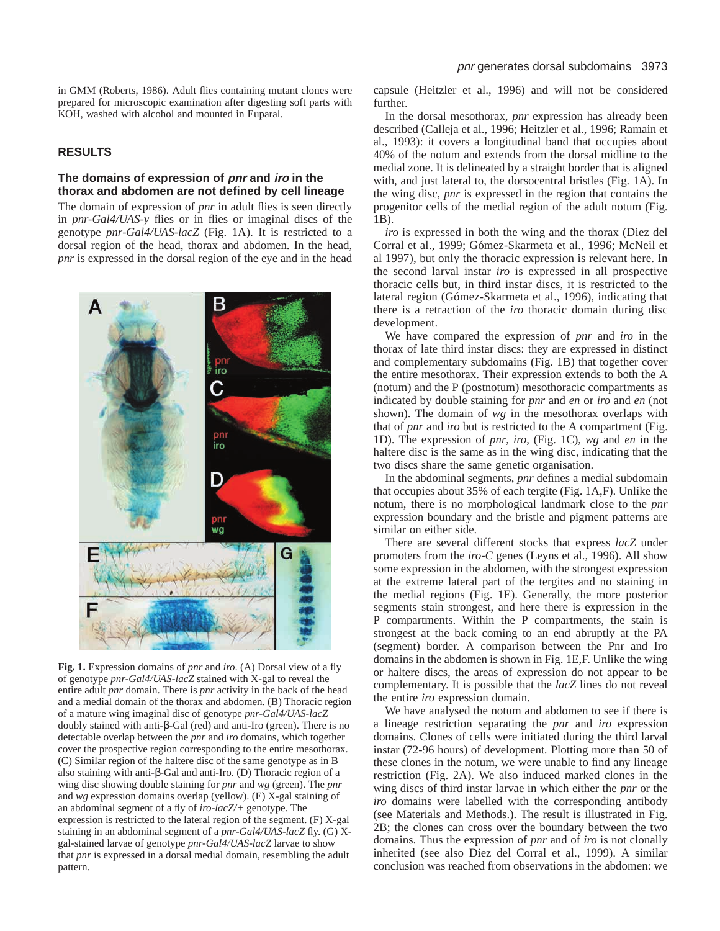in GMM (Roberts, 1986). Adult flies containing mutant clones were prepared for microscopic examination after digesting soft parts with KOH, washed with alcohol and mounted in Euparal.

# **RESULTS**

# **The domains of expression of pnr and iro in the thorax and abdomen are not defined by cell lineage**

The domain of expression of *pnr* in adult flies is seen directly in *pnr-Gal4/UAS-y* flies or in flies or imaginal discs of the genotype *pnr*-*Gal4/UAS-lacZ* (Fig. 1A). It is restricted to a dorsal region of the head, thorax and abdomen. In the head, *pnr* is expressed in the dorsal region of the eye and in the head



**Fig. 1.** Expression domains of *pnr* and *iro*. (A) Dorsal view of a fly of genotype *pnr-Gal4/UAS-lacZ* stained with X-gal to reveal the entire adult *pnr* domain. There is *pnr* activity in the back of the head and a medial domain of the thorax and abdomen. (B) Thoracic region of a mature wing imaginal disc of genotype *pnr-Gal4/UAS-lacZ* doubly stained with anti-β-Gal (red) and anti-Iro (green). There is no detectable overlap between the *pnr* and *iro* domains, which together cover the prospective region corresponding to the entire mesothorax. (C) Similar region of the haltere disc of the same genotype as in B also staining with anti-β-Gal and anti-Iro. (D) Thoracic region of a wing disc showing double staining for *pnr* and *wg* (green). The *pnr* and *wg* expression domains overlap (yellow). (E) X-gal staining of an abdominal segment of a fly of *iro-lacZ/+* genotype. The expression is restricted to the lateral region of the segment. (F) X-gal staining in an abdominal segment of a *pnr-Gal4/UAS-lacZ* fly. (G) Xgal-stained larvae of genotype *pnr-Gal4/UAS-lacZ* larvae to show that *pnr* is expressed in a dorsal medial domain, resembling the adult pattern.

capsule (Heitzler et al., 1996) and will not be considered further.

In the dorsal mesothorax, *pnr* expression has already been described (Calleja et al., 1996; Heitzler et al., 1996; Ramain et al., 1993): it covers a longitudinal band that occupies about 40% of the notum and extends from the dorsal midline to the medial zone. It is delineated by a straight border that is aligned with, and just lateral to, the dorsocentral bristles (Fig. 1A). In the wing disc, *pnr* is expressed in the region that contains the progenitor cells of the medial region of the adult notum (Fig. 1B).

*iro* is expressed in both the wing and the thorax (Diez del Corral et al., 1999; Gómez-Skarmeta et al., 1996; McNeil et al 1997), but only the thoracic expression is relevant here. In the second larval instar *iro* is expressed in all prospective thoracic cells but, in third instar discs, it is restricted to the lateral region (Gómez-Skarmeta et al., 1996), indicating that there is a retraction of the *iro* thoracic domain during disc development.

We have compared the expression of *pnr* and *iro* in the thorax of late third instar discs: they are expressed in distinct and complementary subdomains (Fig. 1B) that together cover the entire mesothorax. Their expression extends to both the A (notum) and the P (postnotum) mesothoracic compartments as indicated by double staining for *pnr* and *en* or *iro* and *en* (not shown). The domain of *wg* in the mesothorax overlaps with that of *pnr* and *iro* but is restricted to the A compartment (Fig. 1D). The expression of *pnr*, *iro*, (Fig. 1C), *wg* and *en* in the haltere disc is the same as in the wing disc, indicating that the two discs share the same genetic organisation.

In the abdominal segments, *pnr* defines a medial subdomain that occupies about 35% of each tergite (Fig. 1A,F). Unlike the notum, there is no morphological landmark close to the *pnr* expression boundary and the bristle and pigment patterns are similar on either side.

There are several different stocks that express *lacZ* under promoters from the *iro-C* genes (Leyns et al., 1996). All show some expression in the abdomen, with the strongest expression at the extreme lateral part of the tergites and no staining in the medial regions (Fig. 1E). Generally, the more posterior segments stain strongest, and here there is expression in the P compartments. Within the P compartments, the stain is strongest at the back coming to an end abruptly at the PA (segment) border. A comparison between the Pnr and Iro domains in the abdomen is shown in Fig. 1E,F. Unlike the wing or haltere discs, the areas of expression do not appear to be complementary. It is possible that the *lacZ* lines do not reveal the entire *iro* expression domain.

We have analysed the notum and abdomen to see if there is a lineage restriction separating the *pnr* and *iro* expression domains. Clones of cells were initiated during the third larval instar (72-96 hours) of development*.* Plotting more than 50 of these clones in the notum, we were unable to find any lineage restriction (Fig. 2A). We also induced marked clones in the wing discs of third instar larvae in which either the *pnr* or the *iro* domains were labelled with the corresponding antibody (see Materials and Methods.). The result is illustrated in Fig. 2B; the clones can cross over the boundary between the two domains. Thus the expression of *pnr* and of *iro* is not clonally inherited (see also Diez del Corral et al., 1999). A similar conclusion was reached from observations in the abdomen: we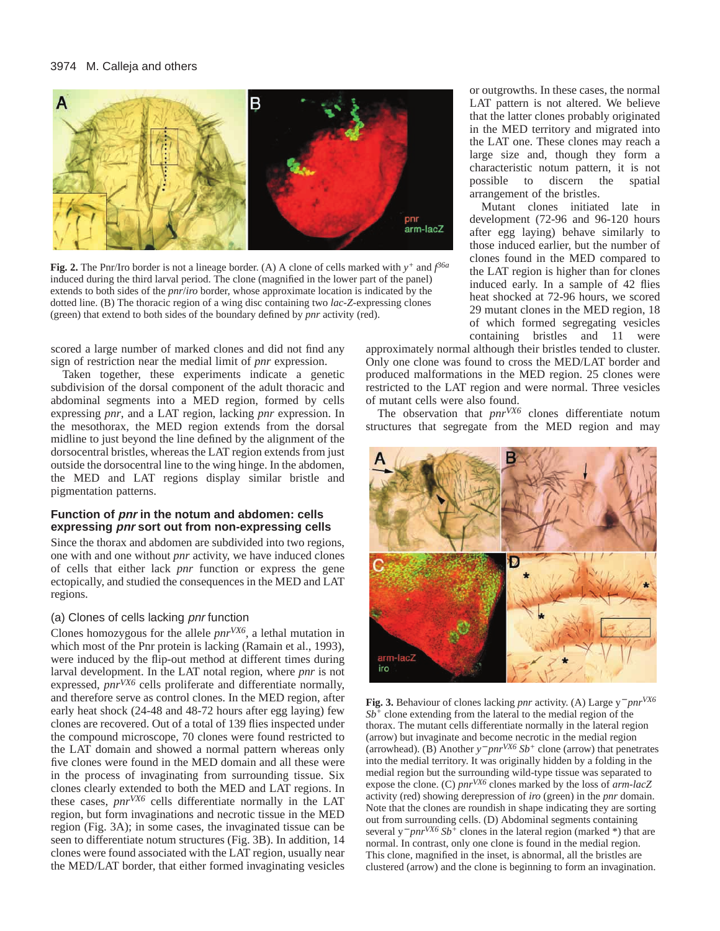

**Fig. 2.** The Pnr/Iro border is not a lineage border. (A) A clone of cells marked with *y+* and *f 36a* induced during the third larval period. The clone (magnified in the lower part of the panel) extends to both sides of the *pnr*/*iro* border, whose approximate location is indicated by the dotted line. (B) The thoracic region of a wing disc containing two *lac-Z*-expressing clones (green) that extend to both sides of the boundary defined by *pnr* activity (red).

scored a large number of marked clones and did not find any sign of restriction near the medial limit of *pnr* expression.

Taken together, these experiments indicate a genetic subdivision of the dorsal component of the adult thoracic and abdominal segments into a MED region, formed by cells expressing *pnr*, and a LAT region, lacking *pnr* expression. In the mesothorax, the MED region extends from the dorsal midline to just beyond the line defined by the alignment of the dorsocentral bristles, whereas the LAT region extends from just outside the dorsocentral line to the wing hinge. In the abdomen, the MED and LAT regions display similar bristle and pigmentation patterns.

# **Function of pnr in the notum and abdomen: cells expressing pnr sort out from non-expressing cells**

Since the thorax and abdomen are subdivided into two regions, one with and one without *pnr* activity, we have induced clones of cells that either lack *pnr* function or express the gene ectopically, and studied the consequences in the MED and LAT regions.

# (a) Clones of cells lacking pnr function

Clones homozygous for the allele *pnrVX6,* a lethal mutation in which most of the Pnr protein is lacking (Ramain et al., 1993), were induced by the flip-out method at different times during larval development. In the LAT notal region, where *pnr* is not expressed,  $pnr^{VX6}$  cells proliferate and differentiate normally, and therefore serve as control clones. In the MED region, after early heat shock (24-48 and 48-72 hours after egg laying) few clones are recovered. Out of a total of 139 flies inspected under the compound microscope, 70 clones were found restricted to the LAT domain and showed a normal pattern whereas only five clones were found in the MED domain and all these were in the process of invaginating from surrounding tissue. Six clones clearly extended to both the MED and LAT regions. In these cases, *pnrVX6* cells differentiate normally in the LAT region, but form invaginations and necrotic tissue in the MED region (Fig. 3A); in some cases, the invaginated tissue can be seen to differentiate notum structures (Fig. 3B). In addition, 14 clones were found associated with the LAT region, usually near the MED/LAT border, that either formed invaginating vesicles or outgrowths. In these cases, the normal LAT pattern is not altered. We believe that the latter clones probably originated in the MED territory and migrated into the LAT one. These clones may reach a large size and, though they form a characteristic notum pattern, it is not possible to discern the spatial arrangement of the bristles.

Mutant clones initiated late in development (72-96 and 96-120 hours after egg laying) behave similarly to those induced earlier, but the number of clones found in the MED compared to the LAT region is higher than for clones induced early. In a sample of 42 flies heat shocked at 72-96 hours, we scored 29 mutant clones in the MED region, 18 of which formed segregating vesicles containing bristles and 11 were

approximately normal although their bristles tended to cluster. Only one clone was found to cross the MED/LAT border and produced malformations in the MED region. 25 clones were restricted to the LAT region and were normal. Three vesicles of mutant cells were also found.

The observation that *pnrVX6* clones differentiate notum structures that segregate from the MED region and may



**Fig. 3.** Behaviour of clones lacking *pnr* activity. (A) Large y<sup>−</sup> *pnrVX6 Sb+* clone extending from the lateral to the medial region of the thorax. The mutant cells differentiate normally in the lateral region (arrow) but invaginate and become necrotic in the medial region (arrowhead). (B) Another *y*<sup>−</sup> *pnrVX6 Sb+* clone (arrow) that penetrates into the medial territory. It was originally hidden by a folding in the medial region but the surrounding wild-type tissue was separated to expose the clone. (C) *pnrVX6* clones marked by the loss of *arm-lacZ* activity (red) showing derepression of *iro* (green) in the *pnr* domain. Note that the clones are roundish in shape indicating they are sorting out from surrounding cells. (D) Abdominal segments containing several y<sup>−</sup> *pnrVX6 Sb+* clones in the lateral region (marked \*) that are normal. In contrast, only one clone is found in the medial region. This clone, magnified in the inset, is abnormal, all the bristles are clustered (arrow) and the clone is beginning to form an invagination.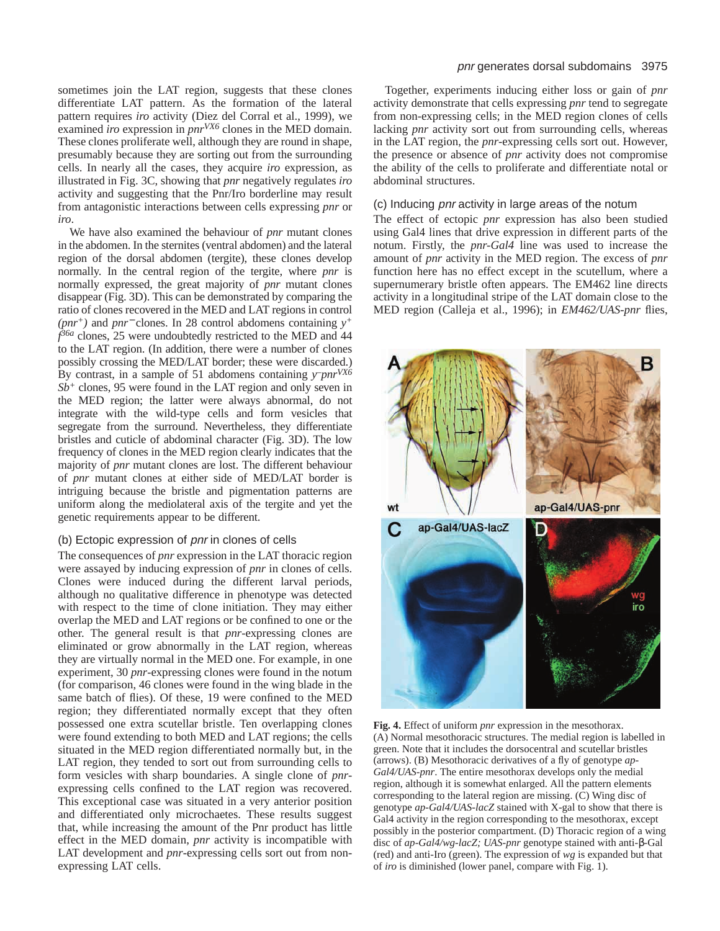sometimes join the LAT region, suggests that these clones differentiate LAT pattern. As the formation of the lateral pattern requires *iro* activity (Diez del Corral et al., 1999), we examined *iro* expression in *pnrVX6* clones in the MED domain. These clones proliferate well, although they are round in shape, presumably because they are sorting out from the surrounding cells. In nearly all the cases, they acquire *iro* expression, as illustrated in Fig. 3C, showing that *pnr* negatively regulates *iro* activity and suggesting that the Pnr/Iro borderline may result from antagonistic interactions between cells expressing *pnr* or *iro*.

We have also examined the behaviour of *pnr* mutant clones in the abdomen. In the sternites (ventral abdomen) and the lateral region of the dorsal abdomen (tergite), these clones develop normally. In the central region of the tergite, where *pnr* is normally expressed, the great majority of *pnr* mutant clones disappear (Fig. 3D). This can be demonstrated by comparing the ratio of clones recovered in the MED and LAT regions in control *(pnr+)* and *pnr*<sup>−</sup> clones. In 28 control abdomens containing *y+ f 36a* clones, 25 were undoubtedly restricted to the MED and 44 to the LAT region. (In addition, there were a number of clones possibly crossing the MED/LAT border; these were discarded.) By contrast, in a sample of 51 abdomens containing *y–pnrVX6 Sb+* clones, 95 were found in the LAT region and only seven in the MED region; the latter were always abnormal, do not integrate with the wild-type cells and form vesicles that segregate from the surround. Nevertheless, they differentiate bristles and cuticle of abdominal character (Fig. 3D). The low frequency of clones in the MED region clearly indicates that the majority of *pnr* mutant clones are lost. The different behaviour of *pnr* mutant clones at either side of MED/LAT border is intriguing because the bristle and pigmentation patterns are uniform along the mediolateral axis of the tergite and yet the genetic requirements appear to be different.

### (b) Ectopic expression of pnr in clones of cells

The consequences of *pnr* expression in the LAT thoracic region were assayed by inducing expression of *pnr* in clones of cells. Clones were induced during the different larval periods, although no qualitative difference in phenotype was detected with respect to the time of clone initiation. They may either overlap the MED and LAT regions or be confined to one or the other. The general result is that *pnr*-expressing clones are eliminated or grow abnormally in the LAT region, whereas they are virtually normal in the MED one. For example, in one experiment, 30 *pnr*-expressing clones were found in the notum (for comparison, 46 clones were found in the wing blade in the same batch of flies). Of these, 19 were confined to the MED region; they differentiated normally except that they often possessed one extra scutellar bristle. Ten overlapping clones were found extending to both MED and LAT regions; the cells situated in the MED region differentiated normally but, in the LAT region, they tended to sort out from surrounding cells to form vesicles with sharp boundaries. A single clone of *pnr*expressing cells confined to the LAT region was recovered. This exceptional case was situated in a very anterior position and differentiated only microchaetes. These results suggest that, while increasing the amount of the Pnr product has little effect in the MED domain, *pnr* activity is incompatible with LAT development and *pnr*-expressing cells sort out from nonexpressing LAT cells.

# pnr generates dorsal subdomains 3975

Together, experiments inducing either loss or gain of *pnr* activity demonstrate that cells expressing *pnr* tend to segregate from non-expressing cells; in the MED region clones of cells lacking *pnr* activity sort out from surrounding cells, whereas in the LAT region, the *pnr*-expressing cells sort out. However, the presence or absence of *pnr* activity does not compromise the ability of the cells to proliferate and differentiate notal or abdominal structures.

# (c) Inducing pnr activity in large areas of the notum

The effect of ectopic *pnr* expression has also been studied using Gal4 lines that drive expression in different parts of the notum. Firstly, the *pnr-Gal4* line was used to increase the amount of *pnr* activity in the MED region. The excess of *pnr* function here has no effect except in the scutellum, where a supernumerary bristle often appears. The EM462 line directs activity in a longitudinal stripe of the LAT domain close to the MED region (Calleja et al., 1996); in *EM462/UAS-pnr* flies,



**Fig. 4.** Effect of uniform *pnr* expression in the mesothorax. (A) Normal mesothoracic structures. The medial region is labelled in green. Note that it includes the dorsocentral and scutellar bristles (arrows). (B) Mesothoracic derivatives of a fly of genotype *ap-Gal4/UAS-pnr*. The entire mesothorax develops only the medial region, although it is somewhat enlarged. All the pattern elements corresponding to the lateral region are missing. (C) Wing disc of genotype *ap-Gal4/UAS-lacZ* stained with X-gal to show that there is Gal4 activity in the region corresponding to the mesothorax, except possibly in the posterior compartment. (D) Thoracic region of a wing disc of *ap-Gal4/wg-lacZ; UAS-pnr* genotype stained with anti-β-Gal (red) and anti-Iro (green). The expression of *wg* is expanded but that of *iro* is diminished (lower panel, compare with Fig. 1).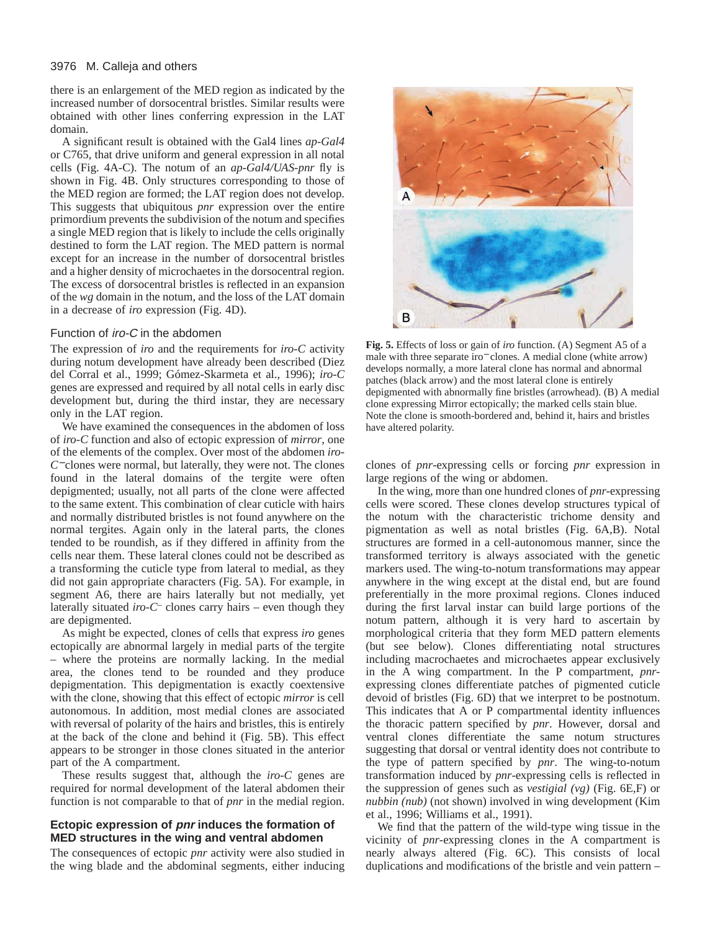there is an enlargement of the MED region as indicated by the increased number of dorsocentral bristles. Similar results were obtained with other lines conferring expression in the LAT domain.

A significant result is obtained with the Gal4 lines *ap-Gal4* or C765, that drive uniform and general expression in all notal cells (Fig. 4A-C). The notum of an *ap-Gal4/UAS-pnr* fly is shown in Fig. 4B. Only structures corresponding to those of the MED region are formed; the LAT region does not develop. This suggests that ubiquitous *pnr* expression over the entire primordium prevents the subdivision of the notum and specifies a single MED region that is likely to include the cells originally destined to form the LAT region. The MED pattern is normal except for an increase in the number of dorsocentral bristles and a higher density of microchaetes in the dorsocentral region. The excess of dorsocentral bristles is reflected in an expansion of the *wg* domain in the notum, and the loss of the LAT domain in a decrease of *iro* expression (Fig. 4D).

### Function of iro-C in the abdomen

The expression of *iro* and the requirements for *iro-C* activity during notum development have already been described (Diez del Corral et al., 1999; Gómez-Skarmeta et al., 1996); *iro-C* genes are expressed and required by all notal cells in early disc development but, during the third instar, they are necessary only in the LAT region.

We have examined the consequences in the abdomen of loss of *iro-C* function and also of ectopic expression of *mirror*, one of the elements of the complex. Over most of the abdomen *iro-C*<sup>−</sup> clones were normal, but laterally, they were not. The clones found in the lateral domains of the tergite were often depigmented; usually, not all parts of the clone were affected to the same extent. This combination of clear cuticle with hairs and normally distributed bristles is not found anywhere on the normal tergites. Again only in the lateral parts, the clones tended to be roundish, as if they differed in affinity from the cells near them. These lateral clones could not be described as a transforming the cuticle type from lateral to medial, as they did not gain appropriate characters (Fig. 5A). For example, in segment A6, there are hairs laterally but not medially, yet laterally situated *iro-C–* clones carry hairs – even though they are depigmented.

As might be expected, clones of cells that express *iro* genes ectopically are abnormal largely in medial parts of the tergite – where the proteins are normally lacking. In the medial area, the clones tend to be rounded and they produce depigmentation. This depigmentation is exactly coextensive with the clone, showing that this effect of ectopic *mirror* is cell autonomous. In addition, most medial clones are associated with reversal of polarity of the hairs and bristles, this is entirely at the back of the clone and behind it (Fig. 5B). This effect appears to be stronger in those clones situated in the anterior part of the A compartment.

These results suggest that, although the *iro-C* genes are required for normal development of the lateral abdomen their function is not comparable to that of *pnr* in the medial region.

# **Ectopic expression of pnr induces the formation of MED structures in the wing and ventral abdomen**

The consequences of ectopic *pnr* activity were also studied in the wing blade and the abdominal segments, either inducing



**Fig. 5.** Effects of loss or gain of *iro* function. (A) Segment A5 of a male with three separate iro<sup>−</sup> clones. A medial clone (white arrow) develops normally, a more lateral clone has normal and abnormal patches (black arrow) and the most lateral clone is entirely depigmented with abnormally fine bristles (arrowhead). (B) A medial clone expressing Mirror ectopically; the marked cells stain blue. Note the clone is smooth-bordered and, behind it, hairs and bristles have altered polarity.

clones of *pnr*-expressing cells or forcing *pnr* expression in large regions of the wing or abdomen.

In the wing, more than one hundred clones of *pnr-*expressing cells were scored. These clones develop structures typical of the notum with the characteristic trichome density and pigmentation as well as notal bristles (Fig. 6A,B). Notal structures are formed in a cell-autonomous manner, since the transformed territory is always associated with the genetic markers used. The wing-to-notum transformations may appear anywhere in the wing except at the distal end, but are found preferentially in the more proximal regions. Clones induced during the first larval instar can build large portions of the notum pattern, although it is very hard to ascertain by morphological criteria that they form MED pattern elements (but see below). Clones differentiating notal structures including macrochaetes and microchaetes appear exclusively in the A wing compartment. In the P compartment, *pnr*expressing clones differentiate patches of pigmented cuticle devoid of bristles (Fig. 6D) that we interpret to be postnotum. This indicates that A or P compartmental identity influences the thoracic pattern specified by *pnr*. However, dorsal and ventral clones differentiate the same notum structures suggesting that dorsal or ventral identity does not contribute to the type of pattern specified by *pnr*. The wing-to-notum transformation induced by *pnr*-expressing cells is reflected in the suppression of genes such as *vestigial (vg)* (Fig. 6E,F) or *nubbin (nub)* (not shown) involved in wing development (Kim et al., 1996; Williams et al., 1991).

We find that the pattern of the wild-type wing tissue in the vicinity of *pnr*-expressing clones in the A compartment is nearly always altered (Fig. 6C). This consists of local duplications and modifications of the bristle and vein pattern –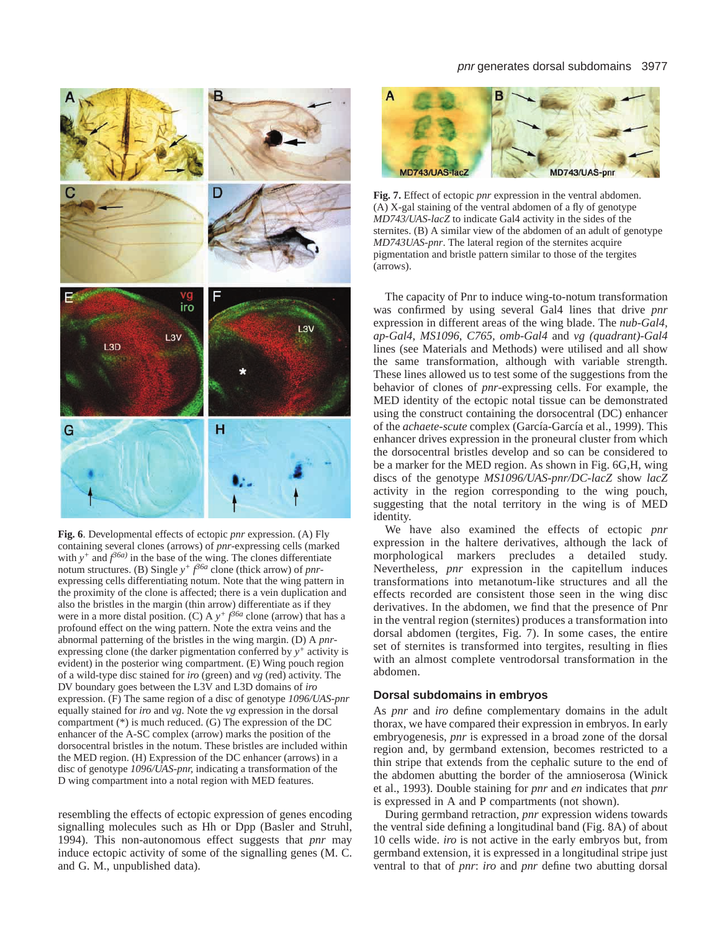

**Fig. 6**. Developmental effects of ectopic *pnr* expression. (A) Fly containing several clones (arrows) of *pnr*-expressing cells (marked with  $y^+$  and  $f^{36a}$ ) in the base of the wing. The clones differentiate notum structures. (B) Single  $y^+ f^{\beta 6a}$  clone (thick arrow) of *pnr*expressing cells differentiating notum. Note that the wing pattern in the proximity of the clone is affected; there is a vein duplication and also the bristles in the margin (thin arrow) differentiate as if they were in a more distal position. (C) A  $y^+$   $f^{36a}$  clone (arrow) that has a profound effect on the wing pattern. Note the extra veins and the abnormal patterning of the bristles in the wing margin. (D) A *pnr*expressing clone (the darker pigmentation conferred by *y+* activity is evident) in the posterior wing compartment. (E) Wing pouch region of a wild-type disc stained for *iro* (green) and *vg* (red) activity. The DV boundary goes between the L3V and L3D domains of *iro* expression. (F) The same region of a disc of genotype *1096/UAS-pnr* equally stained for *iro* and *vg*. Note the *vg* expression in the dorsal compartment (\*) is much reduced. (G) The expression of the DC enhancer of the A-SC complex (arrow) marks the position of the dorsocentral bristles in the notum. These bristles are included within the MED region. (H) Expression of the DC enhancer (arrows) in a disc of genotype *1096/UAS-pnr,* indicating a transformation of the D wing compartment into a notal region with MED features.

resembling the effects of ectopic expression of genes encoding signalling molecules such as Hh or Dpp (Basler and Struhl, 1994). This non-autonomous effect suggests that *pnr* may induce ectopic activity of some of the signalling genes (M. C. and G. M., unpublished data).

#### pnr generates dorsal subdomains 3977



**Fig. 7.** Effect of ectopic *pnr* expression in the ventral abdomen. (A) X-gal staining of the ventral abdomen of a fly of genotype *MD743/UAS-lacZ* to indicate Gal4 activity in the sides of the sternites. (B) A similar view of the abdomen of an adult of genotype *MD743UAS-pnr*. The lateral region of the sternites acquire pigmentation and bristle pattern similar to those of the tergites (arrows).

The capacity of Pnr to induce wing-to-notum transformation was confirmed by using several Gal4 lines that drive *pnr* expression in different areas of the wing blade. The *nub-Gal4, ap-Gal4*, *MS1096, C765, omb-Gal4* and *vg (quadrant)-Gal4* lines (see Materials and Methods) were utilised and all show the same transformation, although with variable strength. These lines allowed us to test some of the suggestions from the behavior of clones of *pnr*-expressing cells. For example, the MED identity of the ectopic notal tissue can be demonstrated using the construct containing the dorsocentral (DC) enhancer of the *achaete-scute* complex (García-García et al., 1999). This enhancer drives expression in the proneural cluster from which the dorsocentral bristles develop and so can be considered to be a marker for the MED region. As shown in Fig. 6G,H, wing discs of the genotype *MS1096/UAS-pnr/DC-lacZ* show *lacZ* activity in the region corresponding to the wing pouch, suggesting that the notal territory in the wing is of MED identity.

We have also examined the effects of ectopic *pnr* expression in the haltere derivatives, although the lack of morphological markers precludes a detailed study. Nevertheless, *pnr* expression in the capitellum induces transformations into metanotum-like structures and all the effects recorded are consistent those seen in the wing disc derivatives. In the abdomen, we find that the presence of Pnr in the ventral region (sternites) produces a transformation into dorsal abdomen (tergites, Fig. 7). In some cases, the entire set of sternites is transformed into tergites, resulting in flies with an almost complete ventrodorsal transformation in the abdomen.

# **Dorsal subdomains in embryos**

As *pnr* and *iro* define complementary domains in the adult thorax, we have compared their expression in embryos. In early embryogenesis, *pnr* is expressed in a broad zone of the dorsal region and, by germband extension, becomes restricted to a thin stripe that extends from the cephalic suture to the end of the abdomen abutting the border of the amnioserosa (Winick et al., 1993). Double staining for *pnr* and *en* indicates that *pnr* is expressed in A and P compartments (not shown).

During germband retraction, *pnr* expression widens towards the ventral side defining a longitudinal band (Fig. 8A) of about 10 cells wide. *iro* is not active in the early embryos but, from germband extension, it is expressed in a longitudinal stripe just ventral to that of *pnr*: *iro* and *pnr* define two abutting dorsal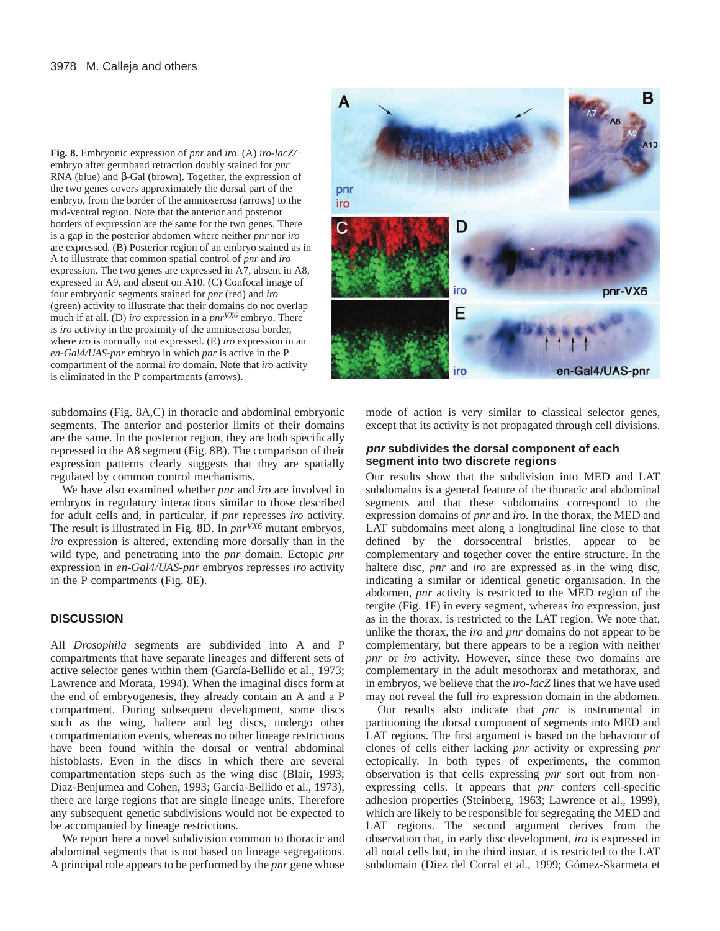**Fig. 8.** Embryonic expression of *pnr* and *iro*. (A) *iro-lacZ/+* embryo after germband retraction doubly stained for *pnr* RNA (blue) and β-Gal (brown). Together, the expression of the two genes covers approximately the dorsal part of the embryo, from the border of the amnioserosa (arrows) to the mid-ventral region. Note that the anterior and posterior borders of expression are the same for the two genes. There is a gap in the posterior abdomen where neither *pnr* nor *iro* are expressed. (B) Posterior region of an embryo stained as in A to illustrate that common spatial control of *pnr* and *iro* expression. The two genes are expressed in A7, absent in A8, expressed in A9, and absent on A10. (C) Confocal image of four embryonic segments stained for *pnr* (red) and *iro* (green) activity to illustrate that their domains do not overlap much if at all. (D) *iro* expression in a *pnrVX6* embryo. There is *iro* activity in the proximity of the amnioserosa border, where *iro* is normally not expressed. (E) *iro* expression in an *en-Gal4/UAS-pnr* embryo in which *pnr* is active in the P compartment of the normal *iro* domain. Note that *iro* activity is eliminated in the P compartments (arrows).

subdomains (Fig. 8A,C) in thoracic and abdominal embryonic segments. The anterior and posterior limits of their domains are the same. In the posterior region, they are both specifically repressed in the A8 segment (Fig. 8B). The comparison of their expression patterns clearly suggests that they are spatially regulated by common control mechanisms.

We have also examined whether *pnr* and *iro* are involved in embryos in regulatory interactions similar to those described for adult cells and, in particular, if *pnr* represses *iro* activity. The result is illustrated in Fig. 8D. In  $pnr^{\sqrt{X}\delta}$  mutant embryos, *iro* expression is altered, extending more dorsally than in the wild type, and penetrating into the *pnr* domain. Ectopic *pnr* expression in *en-Gal4/UAS-pnr* embryos represses *iro* activity in the P compartments (Fig. 8E).

# **DISCUSSION**

All *Drosophila* segments are subdivided into A and P compartments that have separate lineages and different sets of active selector genes within them (García-Bellido et al., 1973; Lawrence and Morata, 1994). When the imaginal discs form at the end of embryogenesis, they already contain an A and a P compartment. During subsequent development, some discs such as the wing, haltere and leg discs, undergo other compartmentation events, whereas no other lineage restrictions have been found within the dorsal or ventral abdominal histoblasts. Even in the discs in which there are several compartmentation steps such as the wing disc (Blair, 1993; Díaz-Benjumea and Cohen, 1993; García-Bellido et al., 1973), there are large regions that are single lineage units. Therefore any subsequent genetic subdivisions would not be expected to be accompanied by lineage restrictions.

We report here a novel subdivision common to thoracic and abdominal segments that is not based on lineage segregations. A principal role appears to be performed by the *pnr* gene whose



mode of action is very similar to classical selector genes, except that its activity is not propagated through cell divisions.

# **pnr subdivides the dorsal component of each segment into two discrete regions**

Our results show that the subdivision into MED and LAT subdomains is a general feature of the thoracic and abdominal segments and that these subdomains correspond to the expression domains of *pnr* and *iro.* In the thorax, the MED and LAT subdomains meet along a longitudinal line close to that defined by the dorsocentral bristles, appear to be complementary and together cover the entire structure. In the haltere disc, *pnr* and *iro* are expressed as in the wing disc, indicating a similar or identical genetic organisation. In the abdomen, *pnr* activity is restricted to the MED region of the tergite (Fig. 1F) in every segment, whereas *iro* expression, just as in the thorax, is restricted to the LAT region. We note that, unlike the thorax, the *iro* and *pnr* domains do not appear to be complementary, but there appears to be a region with neither *pnr* or *iro* activity. However, since these two domains are complementary in the adult mesothorax and metathorax, and in embryos, we believe that the *iro-lacZ* lines that we have used may not reveal the full *iro* expression domain in the abdomen.

Our results also indicate that *pnr* is instrumental in partitioning the dorsal component of segments into MED and LAT regions. The first argument is based on the behaviour of clones of cells either lacking *pnr* activity or expressing *pnr* ectopically. In both types of experiments, the common observation is that cells expressing *pnr* sort out from nonexpressing cells. It appears that *pnr* confers cell-specific adhesion properties (Steinberg, 1963; Lawrence et al., 1999), which are likely to be responsible for segregating the MED and LAT regions. The second argument derives from the observation that, in early disc development, *iro* is expressed in all notal cells but, in the third instar, it is restricted to the LAT subdomain (Diez del Corral et al., 1999; Gómez-Skarmeta et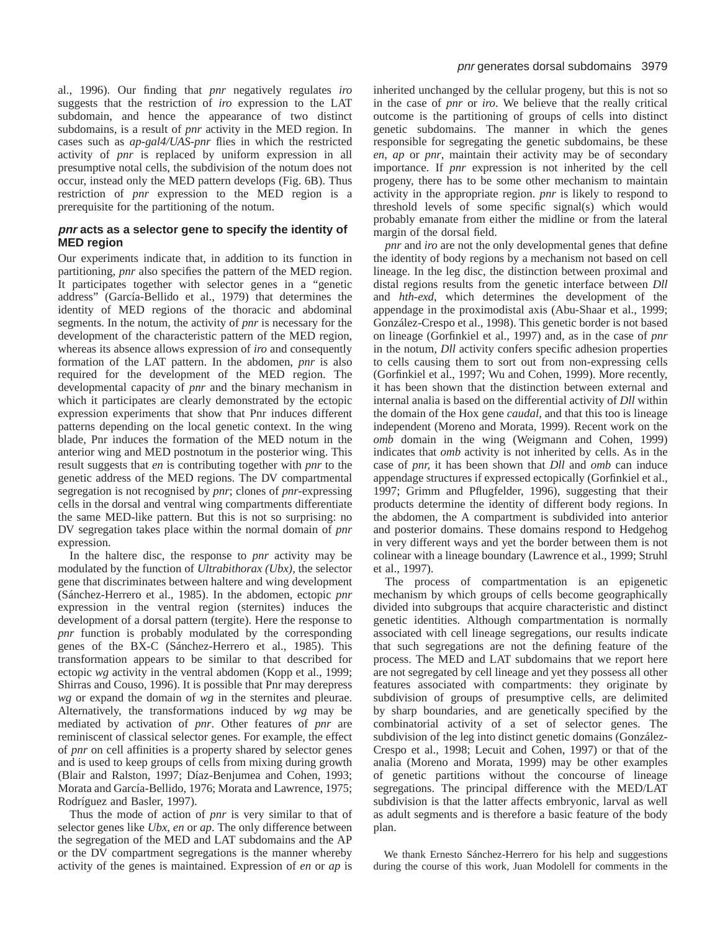al., 1996). Our finding that *pnr* negatively regulates *iro* suggests that the restriction of *iro* expression to the LAT subdomain, and hence the appearance of two distinct subdomains, is a result of *pnr* activity in the MED region. In cases such as *ap-gal4/UAS-pnr* flies in which the restricted activity of *pnr* is replaced by uniform expression in all presumptive notal cells, the subdivision of the notum does not occur, instead only the MED pattern develops (Fig. 6B). Thus restriction of *pnr* expression to the MED region is a prerequisite for the partitioning of the notum.

# **pnr acts as a selector gene to specify the identity of MED region**

Our experiments indicate that, in addition to its function in partitioning, *pnr* also specifies the pattern of the MED region. It participates together with selector genes in a "genetic address" (García-Bellido et al., 1979) that determines the identity of MED regions of the thoracic and abdominal segments. In the notum, the activity of *pnr* is necessary for the development of the characteristic pattern of the MED region, whereas its absence allows expression of *iro* and consequently formation of the LAT pattern. In the abdomen, *pnr* is also required for the development of the MED region. The developmental capacity of *pnr* and the binary mechanism in which it participates are clearly demonstrated by the ectopic expression experiments that show that Pnr induces different patterns depending on the local genetic context. In the wing blade, Pnr induces the formation of the MED notum in the anterior wing and MED postnotum in the posterior wing. This result suggests that *en* is contributing together with *pnr* to the genetic address of the MED regions. The DV compartmental segregation is not recognised by *pnr*; clones of *pnr-*expressing cells in the dorsal and ventral wing compartments differentiate the same MED-like pattern. But this is not so surprising: no DV segregation takes place within the normal domain of *pnr* expression.

In the haltere disc, the response to *pnr* activity may be modulated by the function of *Ultrabithorax (Ubx),* the selector gene that discriminates between haltere and wing development (Sánchez-Herrero et al., 1985). In the abdomen, ectopic *pnr* expression in the ventral region (sternites) induces the development of a dorsal pattern (tergite). Here the response to *pnr* function is probably modulated by the corresponding genes of the BX-C (Sánchez-Herrero et al., 1985). This transformation appears to be similar to that described for ectopic *wg* activity in the ventral abdomen (Kopp et al., 1999; Shirras and Couso, 1996). It is possible that Pnr may derepress *wg* or expand the domain of *wg* in the sternites and pleurae. Alternatively, the transformations induced by *wg* may be mediated by activation of *pnr*. Other features of *pnr* are reminiscent of classical selector genes. For example, the effect of *pnr* on cell affinities is a property shared by selector genes and is used to keep groups of cells from mixing during growth (Blair and Ralston, 1997; Díaz-Benjumea and Cohen, 1993; Morata and García-Bellido, 1976; Morata and Lawrence, 1975; Rodríguez and Basler, 1997).

Thus the mode of action of *pnr* is very similar to that of selector genes like *Ubx*, *en* or *ap*. The only difference between the segregation of the MED and LAT subdomains and the AP or the DV compartment segregations is the manner whereby activity of the genes is maintained. Expression of *en* or *ap* is

inherited unchanged by the cellular progeny, but this is not so in the case of *pnr* or *iro*. We believe that the really critical outcome is the partitioning of groups of cells into distinct genetic subdomains. The manner in which the genes responsible for segregating the genetic subdomains, be these *en*, *ap* or *pnr*, maintain their activity may be of secondary importance. If *pnr* expression is not inherited by the cell progeny, there has to be some other mechanism to maintain activity in the appropriate region. *pnr* is likely to respond to threshold levels of some specific signal(s) which would probably emanate from either the midline or from the lateral margin of the dorsal field.

*pnr* and *iro* are not the only developmental genes that define the identity of body regions by a mechanism not based on cell lineage. In the leg disc, the distinction between proximal and distal regions results from the genetic interface between *Dll* and *hth-exd*, which determines the development of the appendage in the proximodistal axis (Abu-Shaar et al., 1999; González-Crespo et al., 1998). This genetic border is not based on lineage (Gorfinkiel et al., 1997) and, as in the case of *pnr* in the notum, *Dll* activity confers specific adhesion properties to cells causing them to sort out from non-expressing cells (Gorfinkiel et al., 1997; Wu and Cohen, 1999). More recently, it has been shown that the distinction between external and internal analia is based on the differential activity of *Dll* within the domain of the Hox gene *caudal*, and that this too is lineage independent (Moreno and Morata, 1999). Recent work on the *omb* domain in the wing (Weigmann and Cohen, 1999) indicates that *omb* activity is not inherited by cells. As in the case of *pnr,* it has been shown that *Dll* and *omb* can induce appendage structures if expressed ectopically (Gorfinkiel et al., 1997; Grimm and Pflugfelder, 1996), suggesting that their products determine the identity of different body regions. In the abdomen, the A compartment is subdivided into anterior and posterior domains. These domains respond to Hedgehog in very different ways and yet the border between them is not colinear with a lineage boundary (Lawrence et al., 1999; Struhl et al., 1997).

The process of compartmentation is an epigenetic mechanism by which groups of cells become geographically divided into subgroups that acquire characteristic and distinct genetic identities. Although compartmentation is normally associated with cell lineage segregations, our results indicate that such segregations are not the defining feature of the process. The MED and LAT subdomains that we report here are not segregated by cell lineage and yet they possess all other features associated with compartments: they originate by subdivision of groups of presumptive cells, are delimited by sharp boundaries, and are genetically specified by the combinatorial activity of a set of selector genes. The subdivision of the leg into distinct genetic domains (González-Crespo et al., 1998; Lecuit and Cohen, 1997) or that of the analia (Moreno and Morata, 1999) may be other examples of genetic partitions without the concourse of lineage segregations. The principal difference with the MED/LAT subdivision is that the latter affects embryonic, larval as well as adult segments and is therefore a basic feature of the body plan.

We thank Ernesto Sánchez-Herrero for his help and suggestions during the course of this work, Juan Modolell for comments in the